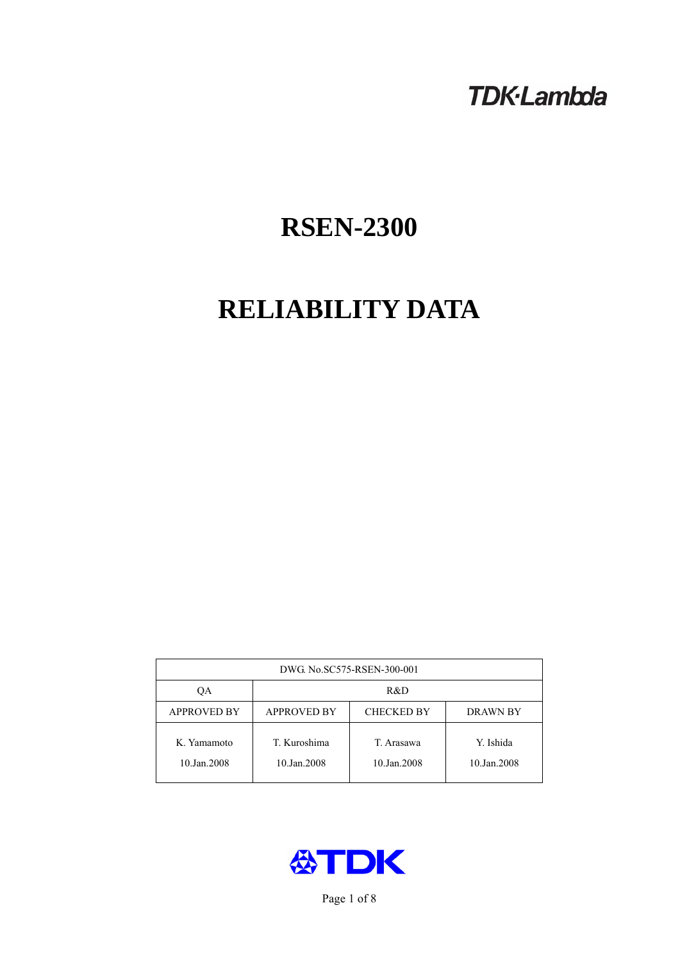# **TDK-Lambda**

# **RSEN-2300**

# **RELIABILITY DATA**

| DWG No.SC575-RSEN-300-001  |                                                            |                           |                          |  |  |
|----------------------------|------------------------------------------------------------|---------------------------|--------------------------|--|--|
| QA                         | R&D                                                        |                           |                          |  |  |
| <b>APPROVED BY</b>         | <b>APPROVED BY</b><br><b>CHECKED BY</b><br><b>DRAWN BY</b> |                           |                          |  |  |
| K. Yamamoto<br>10.Jan.2008 | T. Kuroshima<br>10.Jan.2008                                | T. Arasawa<br>10.Jan.2008 | Y. Ishida<br>10.Jan.2008 |  |  |



Page 1 of 8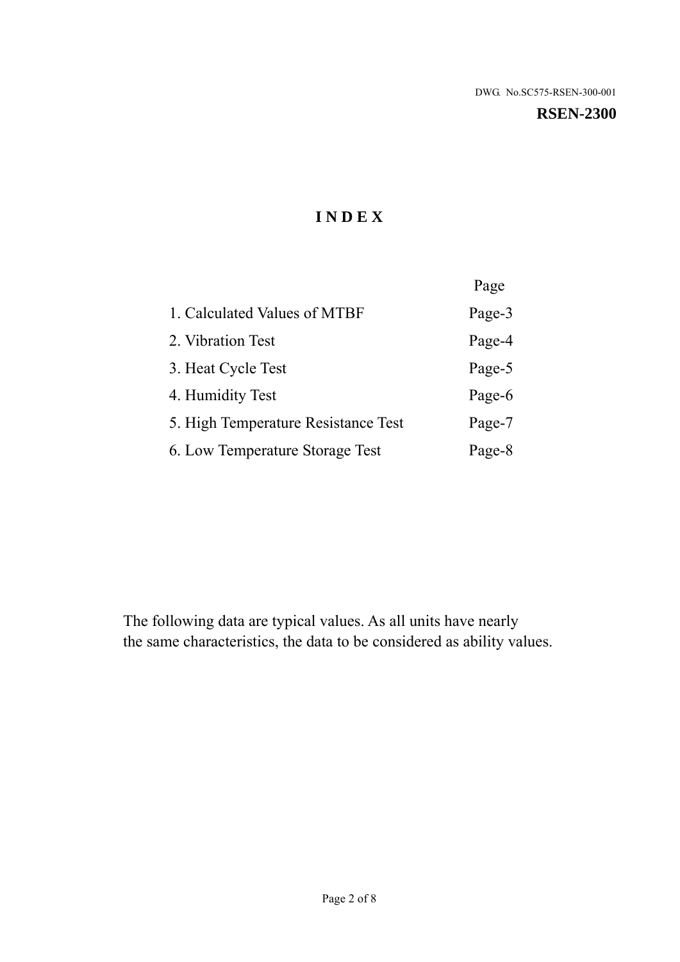# **I N D E X**

|                                     | Page   |
|-------------------------------------|--------|
| 1. Calculated Values of MTBF        | Page-3 |
| 2. Vibration Test                   | Page-4 |
| 3. Heat Cycle Test                  | Page-5 |
| 4. Humidity Test                    | Page-6 |
| 5. High Temperature Resistance Test | Page-7 |
| 6. Low Temperature Storage Test     | Page-8 |

The following data are typical values. As all units have nearly the same characteristics, the data to be considered as ability values.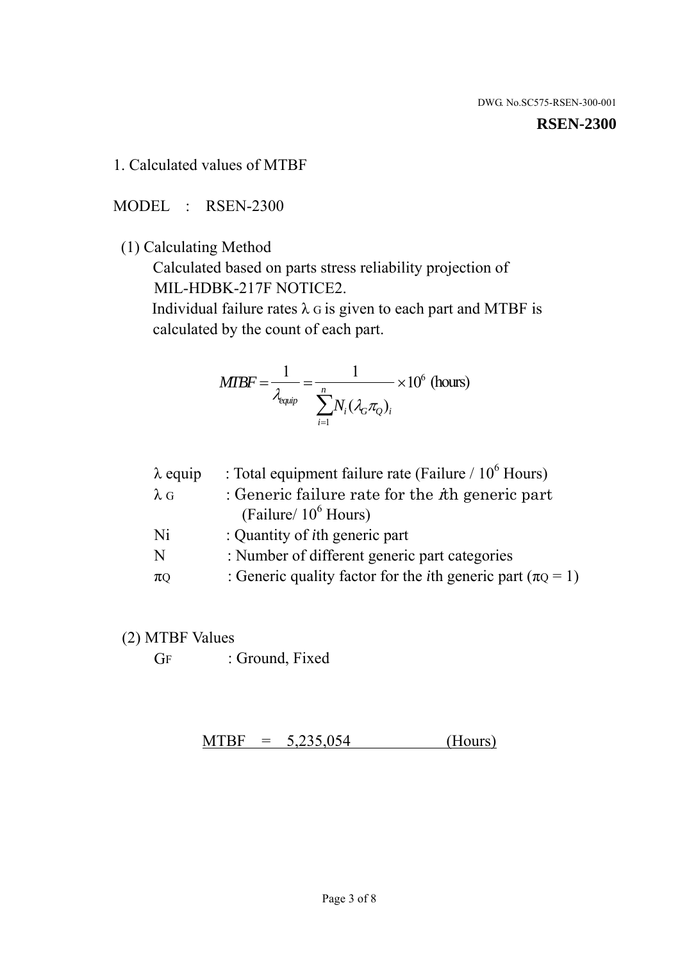#### **RSEN-2300**

1. Calculated values of MTBF

MODEL : RSEN-2300

(1) Calculating Method

 Calculated based on parts stress reliability projection of MIL-HDBK-217F NOTICE2.

Individual failure rates  $\lambda$  G is given to each part and MTBF is calculated by the count of each part.

$$
MIBF = \frac{1}{\lambda_{\text{equip}}} = \frac{1}{\sum_{i=1}^{n} N_i (\lambda_G \pi_Q)_i} \times 10^6 \text{ (hours)}
$$

| $\lambda$ equip | : Total equipment failure rate (Failure $/ 10^6$ Hours)                   |
|-----------------|---------------------------------------------------------------------------|
| $\lambda$ G     | : Generic failure rate for the $\hbar$ generic part                       |
|                 | (Failure/ $10^6$ Hours)                                                   |
| Ni              | : Quantity of <i>i</i> th generic part                                    |
| N               | : Number of different generic part categories                             |
| $\pi$ Q         | : Generic quality factor for the <i>i</i> th generic part ( $\pi Q = 1$ ) |

- (2) MTBF Values
	- GF : Ground, Fixed

 $MTBF = 5,235,054$  (Hours)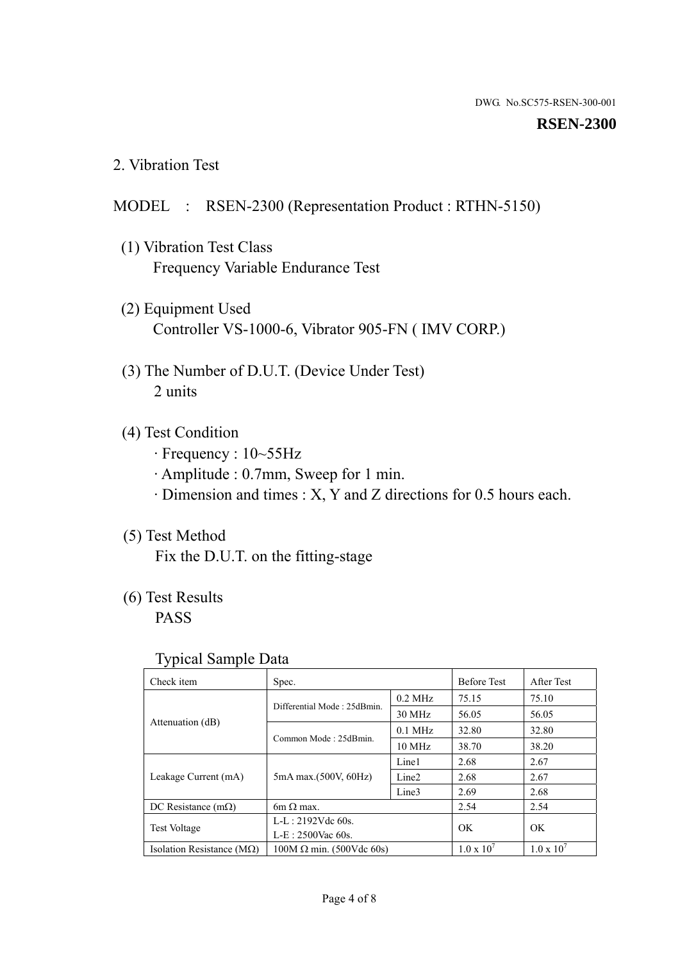### **RSEN-2300**

2. Vibration Test

# MODEL : RSEN-2300 (Representation Product : RTHN-5150)

- (1) Vibration Test Class Frequency Variable Endurance Test
- (2) Equipment Used Controller VS-1000-6, Vibrator 905-FN ( IMV CORP.)
- (3) The Number of D.U.T. (Device Under Test) 2 units
- (4) Test Condition
	- · Frequency : 10~55Hz
	- · Amplitude : 0.7mm, Sweep for 1 min.
	- · Dimension and times : X, Y and Z directions for 0.5 hours each.

# (5) Test Method

Fix the D.U.T. on the fitting-stage

# (6) Test Results

PASS

### Typical Sample Data

| Check item                         | Spec.                           |                   | <b>Before Test</b>  | After Test          |
|------------------------------------|---------------------------------|-------------------|---------------------|---------------------|
|                                    | Differential Mode: 25dBmin.     | $0.2$ MHz         | 75.15               | 75.10               |
|                                    |                                 | 30 MHz            | 56.05               | 56.05               |
| Attenuation (dB)                   |                                 | $0.1$ MHz         | 32.80               | 32.80               |
|                                    | Common Mode: 25dBmin.           | 10 MHz            | 38.70               | 38.20               |
| Leakage Current (mA)               | 5mA max.(500V, 60Hz)            | Line1             | 2.68                | 2.67                |
|                                    |                                 | Line <sub>2</sub> | 2.68                | 2.67                |
|                                    |                                 | Line3             | 2.69                | 2.68                |
| DC Resistance $(m\Omega)$          | 6m $\Omega$ max.                |                   | 2.54                | 2.54                |
| <b>Test Voltage</b>                | $L-L: 2192Vdc$ 60s.             |                   | OK                  | OK                  |
|                                    | $L-E$ : 2500Vac 60s.            |                   |                     |                     |
| Isolation Resistance ( $M\Omega$ ) | $100M \Omega$ min. (500Vdc 60s) |                   | $1.0 \times 10^{7}$ | $1.0 \times 10^{7}$ |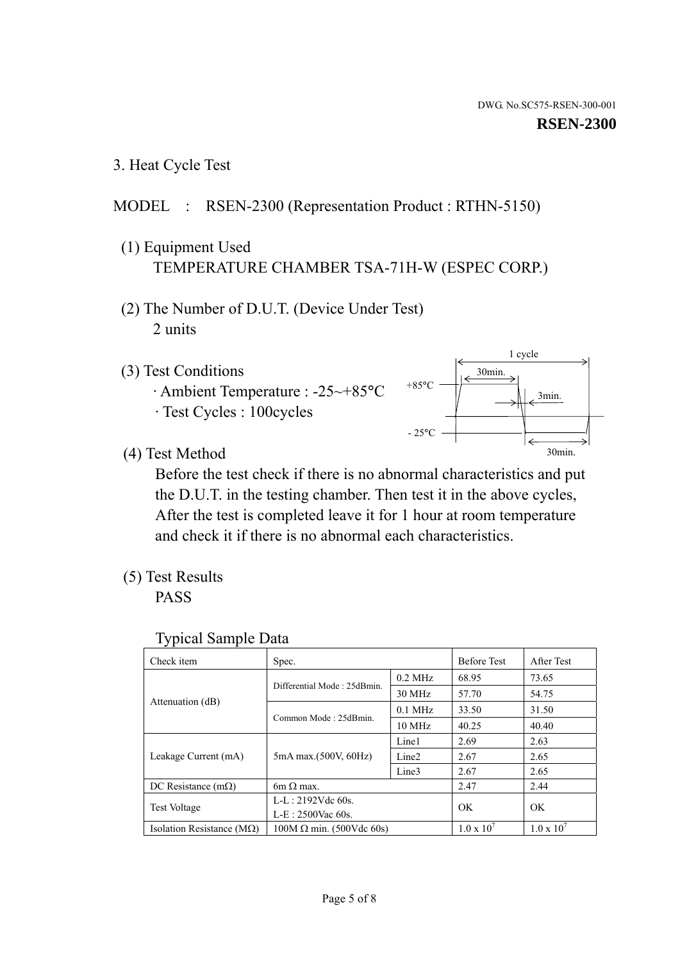1 cycle

30min.

3min.

30min.

3. Heat Cycle Test

# MODEL : RSEN-2300 (Representation Product : RTHN-5150)

- (1) Equipment Used TEMPERATURE CHAMBER TSA-71H-W (ESPEC CORP.)
- (2) The Number of D.U.T. (Device Under Test) 2 units
- (3) Test Conditions
	- · Ambient Temperature : -25~+85°C · Test Cycles : 100cycles
- (4) Test Method

 Before the test check if there is no abnormal characteristics and put the D.U.T. in the testing chamber. Then test it in the above cycles, After the test is completed leave it for 1 hour at room temperature and check it if there is no abnormal each characteristics.

+85°C

 $-25^{\circ}$ C

(5) Test Results

PASS

| <b>Typical Sample Data</b> |  |  |
|----------------------------|--|--|
|----------------------------|--|--|

| Check item                         | Spec.                           |                   | <b>Before Test</b>  | After Test          |
|------------------------------------|---------------------------------|-------------------|---------------------|---------------------|
|                                    | Differential Mode: 25dBmin.     | $0.2$ MHz         | 68.95               | 73.65               |
|                                    |                                 | 30 MHz            | 57.70               | 54.75               |
| Attenuation (dB)                   | Common Mode: 25dBmin.           | $0.1$ MHz         | 33.50               | 31.50               |
|                                    |                                 | 10 MHz            | 40.25               | 40.40               |
| Leakage Current (mA)               | 5mA max.(500V, 60Hz)            | Line1             | 2.69                | 2.63                |
|                                    |                                 | Line <sub>2</sub> | 2.67                | 2.65                |
|                                    |                                 | Line3             | 2.67                | 2.65                |
| DC Resistance $(m\Omega)$          | $6m \Omega$ max.                |                   | 2.47                | 2.44                |
| <b>Test Voltage</b>                | $L-L: 2192Vdc$ 60s.             |                   | OK                  | OK                  |
|                                    | $L-E$ : 2500Vac 60s.            |                   |                     |                     |
| Isolation Resistance ( $M\Omega$ ) | $100M \Omega$ min. (500Vdc 60s) |                   | $1.0 \times 10^{7}$ | $1.0 \times 10^{7}$ |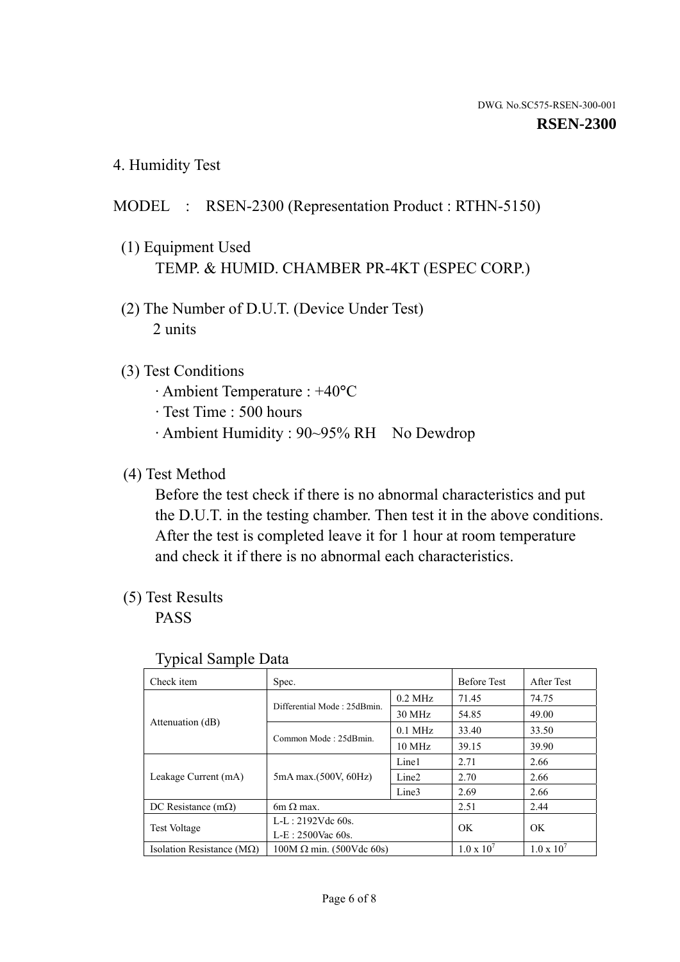4. Humidity Test

# MODEL : RSEN-2300 (Representation Product : RTHN-5150)

- (1) Equipment Used TEMP. & HUMID. CHAMBER PR-4KT (ESPEC CORP.)
- (2) The Number of D.U.T. (Device Under Test) 2 units

## (3) Test Conditions

- · Ambient Temperature : +40°C
- · Test Time : 500 hours
- · Ambient Humidity : 90~95% RH No Dewdrop

# (4) Test Method

 Before the test check if there is no abnormal characteristics and put the D.U.T. in the testing chamber. Then test it in the above conditions. After the test is completed leave it for 1 hour at room temperature and check it if there is no abnormal each characteristics.

# (5) Test Results

PASS

| ັ່<br>Check item                   | Spec.                       |                   | <b>Before Test</b>  | After Test          |
|------------------------------------|-----------------------------|-------------------|---------------------|---------------------|
|                                    | Differential Mode: 25dBmin. | $0.2$ MHz         | 71.45               | 74.75               |
|                                    |                             | 30 MHz            | 54.85               | 49.00               |
| Attenuation (dB)                   | Common Mode: 25dBmin.       | $0.1$ MHz         | 33.40               | 33.50               |
|                                    |                             | $10 \text{ MHz}$  | 39.15               | 39.90               |
| Leakage Current (mA)               | 5mA max.(500V, 60Hz)        | Line1             | 2.71                | 2.66                |
|                                    |                             | Line <sub>2</sub> | 2.70                | 2.66                |
|                                    |                             | Line3             | 2.69                | 2.66                |
| DC Resistance $(m\Omega)$          | $6m \Omega$ max.            |                   | 2.51                | 2.44                |
| Test Voltage                       | $L-L: 2192Vdc$ 60s.         |                   | OK                  | OK.                 |
|                                    | $L-E: 2500$ Vac 60s.        |                   |                     |                     |
| Isolation Resistance ( $M\Omega$ ) | $100M$ Ω min. (500Vdc 60s)  |                   | $1.0 \times 10^{7}$ | $1.0 \times 10^{7}$ |

### Typical Sample Data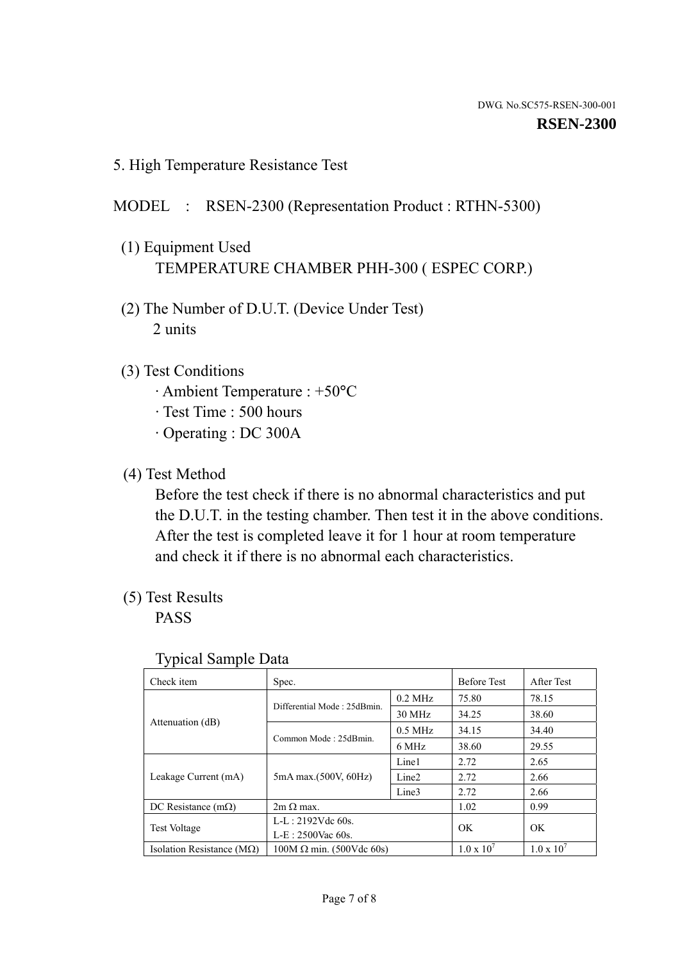5. High Temperature Resistance Test

## MODEL : RSEN-2300 (Representation Product : RTHN-5300)

- (1) Equipment Used TEMPERATURE CHAMBER PHH-300 ( ESPEC CORP.)
- (2) The Number of D.U.T. (Device Under Test) 2 units
- (3) Test Conditions
	- · Ambient Temperature : +50°C
	- · Test Time : 500 hours
	- · Operating : DC 300A
- (4) Test Method

 Before the test check if there is no abnormal characteristics and put the D.U.T. in the testing chamber. Then test it in the above conditions. After the test is completed leave it for 1 hour at room temperature and check it if there is no abnormal each characteristics.

(5) Test Results

PASS

| . .                                |                                 |                   |                     |                     |
|------------------------------------|---------------------------------|-------------------|---------------------|---------------------|
| Check item                         | Spec.                           |                   | <b>Before Test</b>  | After Test          |
|                                    | Differential Mode: 25dBmin.     | $0.2$ MHz         | 75.80               | 78.15               |
|                                    |                                 | 30 MHz            | 34.25               | 38.60               |
| Attenuation (dB)                   | Common Mode: 25dBmin.           | $0.5$ MHz         | 34.15               | 34.40               |
|                                    |                                 | 6 MHz             | 38.60               | 29.55               |
| Leakage Current (mA)               | 5mA max.(500V, 60Hz)            | Line1             | 2.72                | 2.65                |
|                                    |                                 | Line <sub>2</sub> | 2.72                | 2.66                |
|                                    |                                 | Line3             | 2.72                | 2.66                |
| DC Resistance $(m\Omega)$          | $2m \Omega$ max.                |                   | 1.02                | 0.99                |
| <b>Test Voltage</b>                | $L-L: 2192Vdc$ 60s.             |                   | OK.                 | OK.                 |
|                                    | $L-E: 2500$ Vac 60s.            |                   |                     |                     |
| Isolation Resistance ( $M\Omega$ ) | $100M \Omega$ min. (500Vdc 60s) |                   | $1.0 \times 10^{7}$ | $1.0 \times 10^{7}$ |

### Typical Sample Data